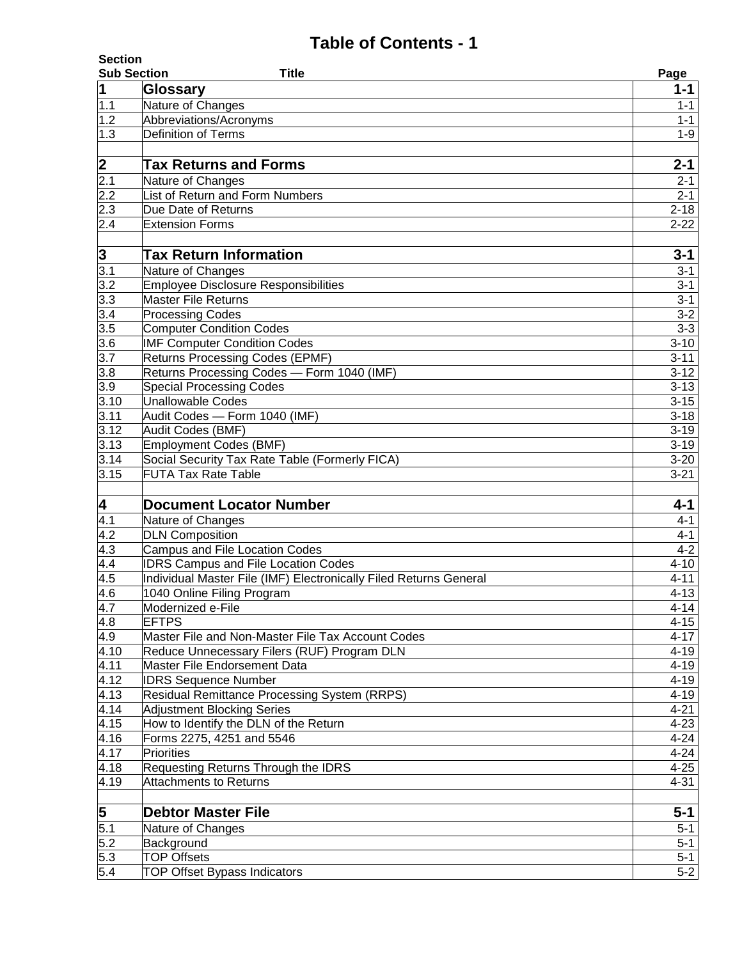|                         | <b>Section</b>                                                    |                  |  |  |
|-------------------------|-------------------------------------------------------------------|------------------|--|--|
| <b>Sub Section</b>      | Title                                                             | Page             |  |  |
| $\mathbf 1$             | Glossary                                                          | $1 - 1$          |  |  |
| 1.1                     | Nature of Changes                                                 | $1 - 1$          |  |  |
| 1.2                     | Abbreviations/Acronyms                                            | $1 - 1$          |  |  |
| 1.3                     | <b>Definition of Terms</b>                                        | $1 - 9$          |  |  |
| $\overline{\mathbf{2}}$ | <b>Tax Returns and Forms</b>                                      | $2 - 1$          |  |  |
| 2.1                     | Nature of Changes                                                 | $2 - 1$          |  |  |
| 2.2                     | List of Return and Form Numbers                                   | $2 - 1$          |  |  |
| 2.3                     | Due Date of Returns                                               | $2 - 18$         |  |  |
| 2.4                     | <b>Extension Forms</b>                                            | $2 - 22$         |  |  |
|                         |                                                                   |                  |  |  |
| $\frac{3}{3.1}$         | <b>Tax Return Information</b>                                     | $3 - 1$          |  |  |
|                         | Nature of Changes                                                 | $3 - 1$          |  |  |
| 3.2                     | <b>Employee Disclosure Responsibilities</b>                       | $3 - 1$          |  |  |
| 3.3                     | <b>Master File Returns</b>                                        | $3 - 1$          |  |  |
|                         | <b>Processing Codes</b>                                           | $3 - 2$          |  |  |
| $\frac{3.4}{3.5}$       | <b>Computer Condition Codes</b>                                   | $3 - 3$          |  |  |
| 3.6                     | <b>IMF Computer Condition Codes</b>                               | $3 - 10$         |  |  |
| $\overline{3.7}$        | <b>Returns Processing Codes (EPMF)</b>                            | $3 - 11$         |  |  |
| 3.8                     | Returns Processing Codes - Form 1040 (IMF)                        | $3 - 12$         |  |  |
| $\overline{3.9}$        | <b>Special Processing Codes</b>                                   | $3 - 13$         |  |  |
| 3.10                    | <b>Unallowable Codes</b>                                          | $3 - 15$         |  |  |
| 3.11                    | Audit Codes - Form 1040 (IMF)                                     | $3 - 18$         |  |  |
| 3.12                    | Audit Codes (BMF)                                                 | $3 - 19$         |  |  |
| 3.13                    | <b>Employment Codes (BMF)</b>                                     | $3 - 19$         |  |  |
| 3.14                    | Social Security Tax Rate Table (Formerly FICA)                    | $3 - 20$         |  |  |
| 3.15                    | <b>FUTA Tax Rate Table</b>                                        | $3 - 21$         |  |  |
|                         |                                                                   |                  |  |  |
| 4                       | <b>Document Locator Number</b>                                    | $4 - 1$          |  |  |
| 4.1                     | Nature of Changes                                                 | $4 - 1$          |  |  |
| 4.2                     | <b>DLN Composition</b>                                            | $4 - 1$          |  |  |
| 4.3                     | <b>Campus and File Location Codes</b>                             | $4 - 2$          |  |  |
| 4.4                     | <b>IDRS Campus and File Location Codes</b>                        | $4 - 10$         |  |  |
| 4.5                     | Individual Master File (IMF) Electronically Filed Returns General | $4 - 11$         |  |  |
| 4.6                     | 1040 Online Filing Program<br>Modernized e-File                   | $4 - 13$         |  |  |
| 4.7<br>4.8              | <b>EFTPS</b>                                                      | 4-14<br>$4 - 15$ |  |  |
| 4.9                     | Master File and Non-Master File Tax Account Codes                 | $4 - 17$         |  |  |
| 4.10                    | Reduce Unnecessary Filers (RUF) Program DLN                       | $4 - 19$         |  |  |
| 4.11                    | Master File Endorsement Data                                      | $4 - 19$         |  |  |
| 4.12                    | <b>IDRS Sequence Number</b>                                       | $4 - 19$         |  |  |
| 4.13                    | Residual Remittance Processing System (RRPS)                      | $4 - 19$         |  |  |
| 4.14                    | <b>Adjustment Blocking Series</b>                                 | $4 - 21$         |  |  |
| 4.15                    | How to Identify the DLN of the Return                             | $4 - 23$         |  |  |
| 4.16                    | Forms 2275, 4251 and 5546                                         | $4 - 24$         |  |  |
| 4.17                    | Priorities                                                        | $4 - 24$         |  |  |
| 4.18                    | Requesting Returns Through the IDRS                               | $4 - 25$         |  |  |
| 4.19                    | <b>Attachments to Returns</b>                                     | $4 - 31$         |  |  |
|                         |                                                                   |                  |  |  |
| 5                       | <b>Debtor Master File</b>                                         | $5-1$            |  |  |
| 5.1                     | Nature of Changes                                                 | $5 - 1$          |  |  |
| 5.2                     | Background                                                        | $5-1$            |  |  |
| 5.3                     | <b>TOP Offsets</b>                                                | $5 - 1$          |  |  |
| 5.4                     | <b>TOP Offset Bypass Indicators</b>                               | $5-2$            |  |  |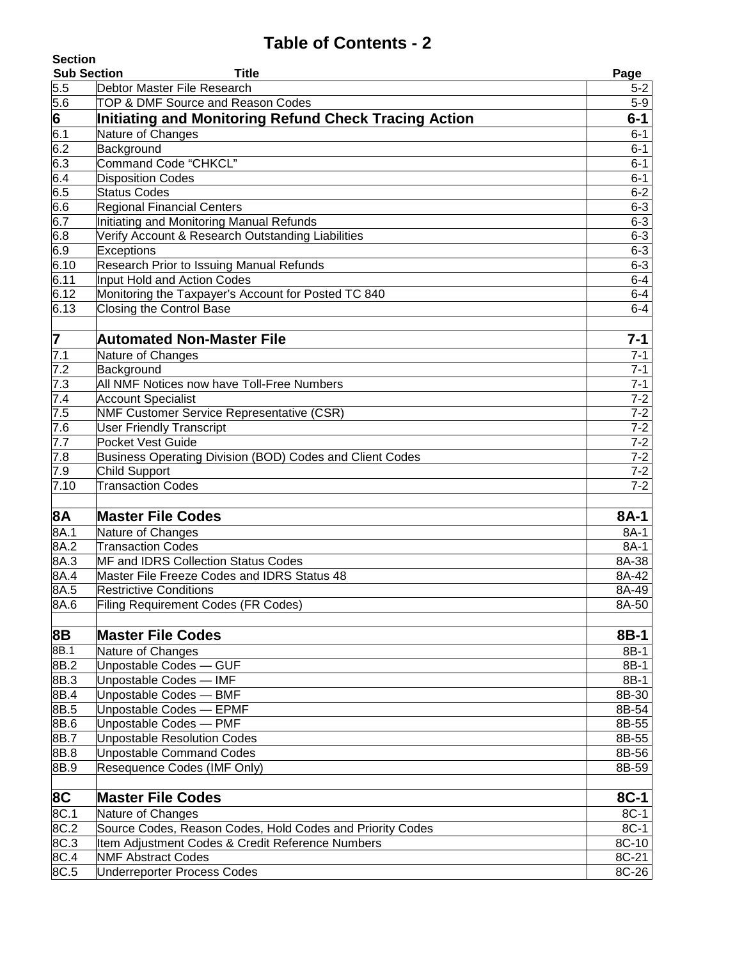| <b>Section</b>     |                                                              |                |
|--------------------|--------------------------------------------------------------|----------------|
| <b>Sub Section</b> | Title                                                        | Page           |
| 5.5                | Debtor Master File Research                                  | $5 - 2$        |
| 5.6                | TOP & DMF Source and Reason Codes                            | $5-9$          |
| 6                  | Initiating and Monitoring Refund Check Tracing Action        | $6 - 1$        |
| 6.1                | Nature of Changes                                            | $6 - 1$        |
| 6.2                | Background                                                   | $6 - 1$        |
| 6.3                | <b>Command Code "CHKCL"</b>                                  | $6 - 1$        |
| 6.4                | <b>Disposition Codes</b>                                     | $6 - 1$        |
| 6.5                | <b>Status Codes</b>                                          | $6 - 2$        |
| 6.6                | <b>Regional Financial Centers</b>                            | $6 - 3$        |
| 6.7                | Initiating and Monitoring Manual Refunds                     | $6 - 3$        |
| 6.8                | Verify Account & Research Outstanding Liabilities            | $6 - 3$        |
| 6.9                | Exceptions                                                   | $6 - 3$        |
| 6.10               | Research Prior to Issuing Manual Refunds                     | $6 - 3$        |
| 6.11               | Input Hold and Action Codes                                  | $6-4$          |
| 6.12               | Monitoring the Taxpayer's Account for Posted TC 840          | $6-4$          |
| 6.13               | Closing the Control Base                                     | $6-4$          |
| 7                  | <b>Automated Non-Master File</b>                             | $7 - 1$        |
| $\overline{7.1}$   | Nature of Changes                                            | $7 - 1$        |
| 7.2                | Background                                                   | $7 - 1$        |
| 7.3                | All NMF Notices now have Toll-Free Numbers                   | $7 - 1$        |
| 7.4                | <b>Account Specialist</b>                                    | $7 - 2$        |
| 7.5                | <b>NMF Customer Service Representative (CSR)</b>             | $7 - 2$        |
| 7.6                | <b>User Friendly Transcript</b>                              | $7 - 2$        |
| 7.7                | Pocket Vest Guide                                            | $7 - 2$        |
| 7.8                | Business Operating Division (BOD) Codes and Client Codes     | $7 - 2$        |
| 7.9                | <b>Child Support</b>                                         | $7 - 2$        |
| 7.10               | <b>Transaction Codes</b>                                     | $7 - 2$        |
| 8A                 | <b>Master File Codes</b>                                     | 8A-1           |
| 8A.1               | Nature of Changes                                            | 8A-1           |
| 8A.2               | <b>Transaction Codes</b>                                     | 8A-1           |
| 8A.3               | MF and IDRS Collection Status Codes                          | 8A-38          |
| 8A.4               | Master File Freeze Codes and IDRS Status 48                  | 8A-42          |
| 8A.5               | <b>Restrictive Conditions</b>                                | 8A-49          |
| 8A.6               | <b>Filing Requirement Codes (FR Codes)</b>                   | 8A-50          |
|                    |                                                              |                |
| 8B                 | <b>Master File Codes</b>                                     | 8B-1           |
| 8B.1               | Nature of Changes                                            | 8B-1           |
| 8B.2               | Unpostable Codes - GUF                                       | 8B-1           |
| 8B.3               | Unpostable Codes - IMF                                       | 8B-1           |
| 8B.4               | Unpostable Codes - BMF                                       | 8B-30          |
| 8B.5               | Unpostable Codes - EPMF                                      | 8B-54          |
| 8B.6<br>8B.7       | Unpostable Codes - PMF<br><b>Unpostable Resolution Codes</b> | 8B-55<br>8B-55 |
| 8B.8               | Unpostable Command Codes                                     | 8B-56          |
| 8B.9               | Resequence Codes (IMF Only)                                  | 8B-59          |
|                    |                                                              |                |
| 8C                 | <b>Master File Codes</b>                                     | 8C-1           |
| 8C.1               | Nature of Changes                                            | 8C-1           |
| 8C.2               | Source Codes, Reason Codes, Hold Codes and Priority Codes    | 8C-1           |
| 8C.3               | Item Adjustment Codes & Credit Reference Numbers             | 8C-10          |
| 8C.4               | <b>NMF Abstract Codes</b>                                    | 8C-21          |
| 8C.5               | Underreporter Process Codes                                  | 8C-26          |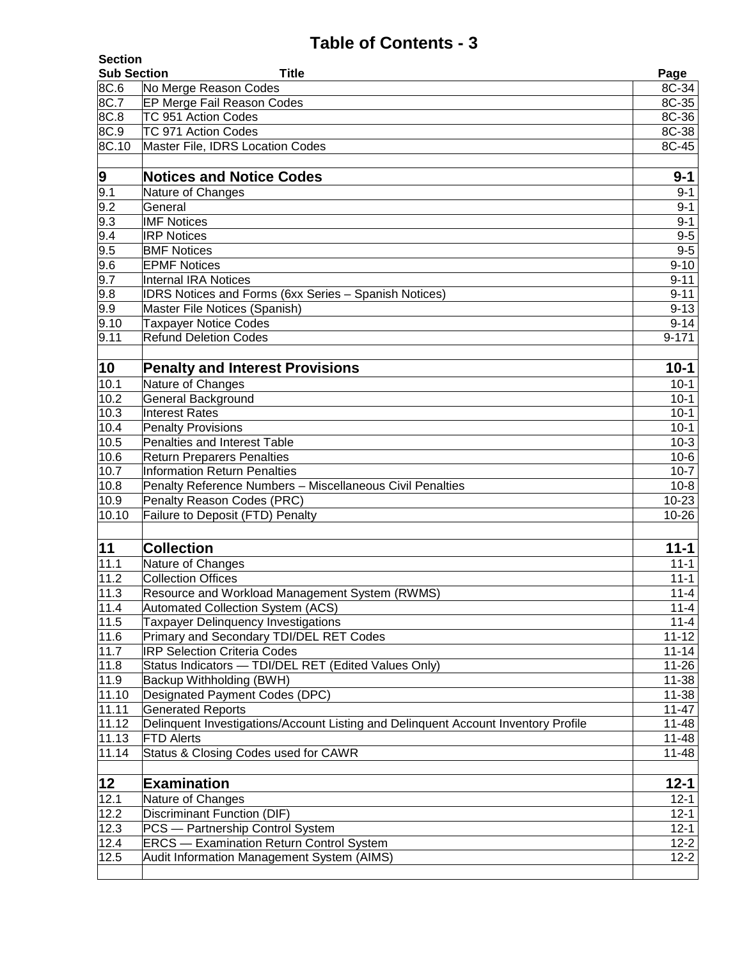| <b>Section</b>     |                                                                                    |                    |
|--------------------|------------------------------------------------------------------------------------|--------------------|
| <b>Sub Section</b> | Title                                                                              | Page               |
| 8C.6               | No Merge Reason Codes                                                              | 8C-34              |
| 8C.7               | EP Merge Fail Reason Codes                                                         | 8C-35              |
| 8C.8               | TC 951 Action Codes                                                                | 8C-36              |
| 8C.9               | TC 971 Action Codes                                                                | 8C-38              |
| 8C.10              | Master File, IDRS Location Codes                                                   | 8C-45              |
| 9                  | <b>Notices and Notice Codes</b>                                                    | $9 - 1$            |
| 9.1                | Nature of Changes                                                                  | $9 - 1$            |
| 9.2                | General                                                                            | $9 - 1$            |
| 9.3                | <b>IMF Notices</b>                                                                 | $9 - 1$            |
| 9.4                | <b>IRP Notices</b>                                                                 | $9-5$              |
| 9.5                | <b>BMF</b> Notices                                                                 | $9-5$              |
| 9.6                | <b>EPMF Notices</b>                                                                | $9 - 10$           |
| 9.7                | <b>Internal IRA Notices</b>                                                        | $9 - 11$           |
| 9.8                | <b>IDRS Notices and Forms (6xx Series - Spanish Notices)</b>                       | $9 - 11$           |
| 9.9                | Master File Notices (Spanish)                                                      | $9 - 13$           |
| 9.10               | <b>Taxpayer Notice Codes</b>                                                       | $9 - 14$           |
| 9.11               | <b>Refund Deletion Codes</b>                                                       | $9 - 171$          |
| 10                 | <b>Penalty and Interest Provisions</b>                                             | $10 - 1$           |
| 10.1               | Nature of Changes                                                                  | $10-1$             |
| 10.2               | <b>General Background</b>                                                          | $10 - 1$           |
| 10.3               | <b>Interest Rates</b>                                                              | $10-1$             |
| 10.4               | <b>Penalty Provisions</b>                                                          | $10-1$             |
| 10.5               | Penalties and Interest Table                                                       | $10-3$             |
| 10.6               | <b>Return Preparers Penalties</b>                                                  | $10-6$             |
| 10.7               | <b>Information Return Penalties</b>                                                | $10-7$             |
| 10.8               | Penalty Reference Numbers - Miscellaneous Civil Penalties                          | $10 - 8$           |
| 10.9               | Penalty Reason Codes (PRC)                                                         | $10 - 23$          |
| 10.10              | Failure to Deposit (FTD) Penalty                                                   | $10 - 26$          |
| 11                 | <b>Collection</b>                                                                  | $11 - 1$           |
| 11.1               | Nature of Changes                                                                  | $11 - 1$           |
| 11.2               | Collection Offices                                                                 | $11 - 1$           |
| 11.3               | Resource and Workload Management System (RWMS)                                     | $11 - 4$           |
| 11.4               | Automated Collection System (ACS)                                                  | $11 - 4$           |
| 11.5               | <b>Taxpayer Delinquency Investigations</b>                                         | $11 - 4$           |
| 11.6               | Primary and Secondary TDI/DEL RET Codes                                            | $11 - 12$          |
| 11.7               | <b>IRP Selection Criteria Codes</b>                                                | $11 - 14$          |
| 11.8               | Status Indicators - TDI/DEL RET (Edited Values Only)                               | $11 - 26$          |
| 11.9               | Backup Withholding (BWH)                                                           | $11 - 38$          |
| 11.10              | Designated Payment Codes (DPC)                                                     | $11 - 38$          |
| 11.11              | <b>Generated Reports</b>                                                           | $11 - 47$          |
| 11.12              | Delinquent Investigations/Account Listing and Delinquent Account Inventory Profile | $11 - 48$          |
| 11.13              | <b>FTD Alerts</b>                                                                  | $11 - 48$          |
| 11.14              | Status & Closing Codes used for CAWR                                               | $11 - 48$          |
| 12                 | <b>Examination</b>                                                                 | $12 - 1$           |
| 12.1               | Nature of Changes                                                                  | $12 - 1$           |
| 12.2               | Discriminant Function (DIF)                                                        | $12 - 1$           |
| 12.3               | PCS - Partnership Control System                                                   | $\overline{1}$ 2-1 |
| 12.4               | <b>ERCS</b> - Examination Return Control System                                    | $12 - 2$           |
| 12.5               | Audit Information Management System (AIMS)                                         | $12 - 2$           |
|                    |                                                                                    |                    |